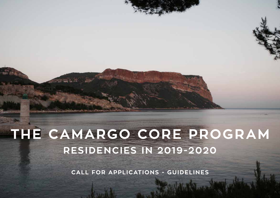**THE CAMARGO CORE PROGRAM RESIDENCIES IN 2019-2020**

**CALL FOR APPLICATIONS - GUIDELINES**

**CAMARGO CORE PROGRAM • 11**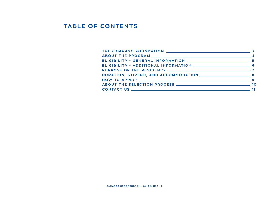#### **TABLE OF CONTENTS**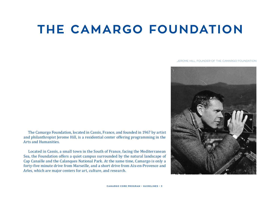## **THE CAMARGO FOUNDATION**

#### JEROME HILL, FOUNDER OF THE CAMARGO FOUNDATION

The Camargo Foundation, located in Cassis, France, and founded in 1967 by artist and philanthropist Jerome Hill, is a residential center offering programming in the Arts and Humanities.

Located in Cassis, a small town in the South of France, facing the Mediterranean Sea, the Foundation offers a quiet campus surrounded by the natural landscape of Cap Canaille and the Calanques National Park. At the same time, Camargo is only a forty-five minute drive from Marseille, and a short drive from Aix-en-Provence and Arles, which are major centers for art, culture, and research.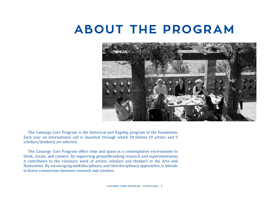### **ABOUT THE PROGRAM**



The Camargo Core Program is the historical and flagship program of the Foundation. Each year an international call is launched through which 18 fellows (9 artists and 9 scholars/thinkers) are selected.

The Camargo Core Program offers time and space in a contemplative environment to think, create, and connect. By supporting groundbreaking research and experimentation, it contributes to the visionary work of artists, scholars and thinkers in the Arts and Humanities. By encouraging multidisciplinary and interdisciplinary approaches, it intends to foster connections between research and creation.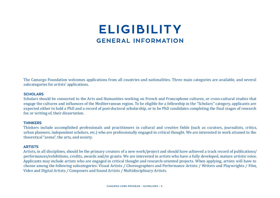### **ELIGIBILITY GENERAL INFORMATION**

The Camargo Foundation welcomes applications from all countries and nationalities. Three main categories are available, and several subcategories for artists' applications.

#### **SCHOLARS**

Scholars should be connected to the Arts and Humanities working on French and Francophone cultures, or cross-cultural studies that engage the cultures and influences of the Mediterranean region. To be eligible for a fellowship in the "Scholars" category, applicants are expected either to hold a PhD and a record of post-doctoral scholarship, or to be PhD candidates completing the final stages of research for, or writing of, their dissertation.

#### **THINKERS**

Thinkers include accomplished professionals and practitioners in cultural and creative fields (such as curators, journalists, critics, urban planners, independent scholars, etc.) who are professionally engaged in critical thought. We are interested in work attuned to the theoretical "arena", the arts, and society.

#### **ARTISTS**

Artists, in all disciplines, should be the primary creators of a new work/project and should have achieved a track record of publications/ performances/exhibitions, credits, awards and/or grants. We are interested in artists who have a fully developed, mature artistic voice. Applicants may include artists who are engaged in critical thought and research-oriented projects. When applying, artists will have to choose among the following subcategories: Visual Artists / Choreographers and Performance Artists / Writers and Playwrights / Film, Video and Digital Artists / Composers and Sound Artists / Multidisciplinary Artists.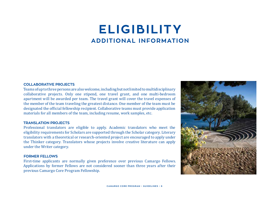### **ELIGIBILITY ADDITIONAL INFORMATION**

#### **COLLABORATIVE PROJECTS**

Teams of up to three persons are also welcome, including but not limited to multidisciplinary collaborative projects. Only one stipend, one travel grant, and one multi-bedroom apartment will be awarded per team. The travel grant will cover the travel expenses of the member of the team traveling the greatest distance. One member of the team must be designated the official fellowship recipient. Collaborative teams must provide application materials for all members of the team, including resume, work samples, etc.

#### **TRANSLATION PROJECTS**

Professional translators are eligible to apply. Academic translators who meet the eligibility requirements for Scholars are supported through the Scholar category. Literary translators with a theoretical or research-oriented project are encouraged to apply under the Thinker category. Translators whose projects involve creative literature can apply under the Writer category.

#### **FORMER FELLOWS**

First-time applicants are normally given preference over previous Camargo Fellows. Applications by former Fellows are not considered sooner than three years after their previous Camargo Core Program Fellowship.

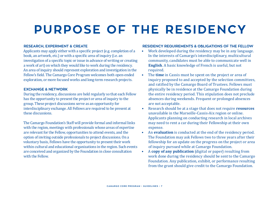# **PURPOSE OF THE RESIDENCY**

#### **RESEARCH, EXPERIMENT & CREATE**

Applicants may apply either with a specific project (e.g. completion of a book, an artwork, etc.) or with a specific area of inquiry (i.e. an investigation of a specific topic or issue in advance of writing or creating a work of art) on which they would like to work during the residency. An area of inquiry should represent exploration and investigation in the Fellow's field. The Camargo Core Program welcomes both open-ended exploration, or more focused works and long-term research projects.

#### **EXCHANGE & NETWORK**

During the residency, discussions are held regularly so that each Fellow has the opportunity to present the project or area of inquiry to the group. These project discussions serve as an opportunity for interdisciplinary exchange. All Fellows are required to be present at these discussions.

The Camargo Foundation's Staff will provide formal and informal links with the region, meetings with professionals whose areas of expertise are relevant for the Fellow, opportunities to attend events, and the option of inviting outside professionals to project discussions. On a voluntary basis, Fellows have the opportunity to present their work within cultural and educational organizations in the region. Such events are conceived and organized by the Foundation in close consultation with the Fellow.

#### **RESIDENCY REQUIREMENTS & OBLIGATIONS OF THE FELLOW**

- Work developed during the residency may be in any language. In the interests of Camargo's interdisciplinary, multicultural community, candidates must be able to communicate well in **English**. A basic knowledge of French is useful, but not required.
- The **time** in Cassis must be spent on the project or area of inquiry proposed to and accepted by the selection committees, and ratified by the Camargo Board of Trustees. Fellows must physically be in residence at the Camargo Foundation during the entire residency period. This stipulation does not preclude absences during weekends. Frequent or prolonged absences are not acceptable.
- Research should be at a stage that does not require **resources** unavailable in the Marseille-Cassis-Aix region or online. Applicants planning on conducting research in local archives may need to rent a car during their Fellowship at their own expense.
- An **evaluation** is conducted at the end of the residency period. The Foundation may ask Fellows two to three years after their fellowship for an update on the progress on the project or area of inquiry pursued while at Camargo Foundation.
- A **copy of any publication** (digital or paper) resulting from work done during the residency should be sent to the Camargo Foundation. Any publication, exhibit, or performance resulting from the grant should give credit to the Camargo Foundation.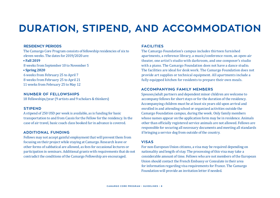### **DURATION, STIPEND, AND ACCOMMODATION**

#### **RESIDENCY PERIODS**

The Camargo Core Program consists of fellowship residencies of six to eleven weeks. The dates for 2019/2020 are:

#### **• Fall 2019**

8 weeks from September 10 to November 5

#### **• Spring 2020**

6 weeks from February 25 to April 7 8 weeks from February 25 to April 21 11 weeks from February 25 to May 12

#### **NUMBER OF FELLOWSHIPS**

18 Fellowships/year (9 artists and 9 scholars & thinkers)

#### **STIPEND**

A stipend of 250 USD per week is available, as is funding for basic transportation to and from Cassis for the Fellow for the residency. In the case of air travel, basic coach class booked far in advance is covered.

#### **ADDITIONAL FUNDING**

Fellows may not accept gainful employment that will prevent them from focusing on their project while staying at Camargo. Research leave or other forms of sabbatical are allowed, as fees for occasional lectures or participation in seminars. Additional grants with requirements that do not contradict the conditions of the Camargo Fellowship are encouraged.

#### **FACILITIES**

The Camargo Foundation's campus includes thirteen furnished apartments, a reference library, a music/conference room, an open-air theater, one artist's studio with darkroom, and one composer's studio with a piano. The Camargo Foundation does not have a dance studio. The facilities are ideal for desk work. The Camargo Foundation does not provide art supplies or technical equipment. All apartments include a fully equipped kitchen for residents to prepare their own meals.

#### **ACCOMPANYING FAMILY MEMBERS**

Spouses/adult partners and dependent minor children are welcome to accompany fellows for short stays or for the duration of the residency. Accompanying children must be at least six years old upon arrival and enrolled in and attending school or organized activities outside the Camargo Foundation campus, during the week. Only family members whose names appear on the application form may be in residence. Animals other than officially registered service animals are not allowed. Fellows are responsible for securing all necessary documents and meeting all standards if bringing a service dog from outside of the country.

#### **VISAS**

For non-European Union citizens, a visa may be required depending on nationality and length of stay. The processing of this visa may take a considerable amount of time. Fellows who are not members of the European Union should contact the French Embassy or Consulate in their area for information regarding visa requirements for France. The Camargo Foundation will provide an invitation letter if needed.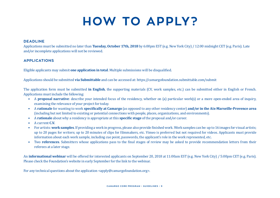### **HOW TO APPLY?**

#### **DEADLINE**

Applications must be submitted no later than **Tuesday, October 17th, 2018** by 6:00pm EST (e.g. New York City) / 12:00 midnight CET (e.g. Paris). Late and/or incomplete applications will not be reviewed.

#### **APPLICATIONS**

Eligible applicants may submit **one application in total**. Multiple submissions will be disqualified.

Applications should be submitted **via Submittable** and can be accessed at: https://camargofoundation.submittable.com/submit

The application form must be submitted **in English**, the supporting materials (CV, work samples, etc.) can be submitted either in English or French. Applications must include the following:

- A **proposal narrative**: describe your intended focus of the residency, whether on (a) particular work(s) or a more open-ended area of inquiry, examining the relevance of your project for today.
- A **rationale** for wanting to work **specifically at Camargo** (as opposed to any other residency center) **and/or in the Aix-Marseille-Provence area** (including but not limited to existing or potential connections with people, places, organizations, and environments).
- A **rationale** about why a residency is appropriate at this **specific stage** of the proposal and/or career.
- A current **C.V.**
- For artists: **work samples**. If providing a work in progress, please also provide finished work. Work samples can be: up to 16 images for visual artists; up to 20 pages for writers; up to 20 minutes of clips for filmmakers, etc. Vimeo is preferred but not required for videos. Applicants must provide information about each work sample, including cue point, passwords, the applicant's role in the work represented, etc.
- Two **references**. Submitters whose applications pass to the final stages of review may be asked to provide recommendation letters from their referees at a later stage.

An **informational webinar** will be offered for interested applicants on September 20, 2018 at 11:00am EST (e.g. New York City) / 5:00pm CET (e.g. Paris). Please check the Foundation's website in early September for the link to the webinar.

For any technical questions about the application  $\langle \text{apply@camargof}$  oundation.org>.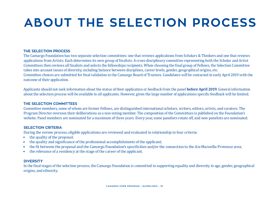# **ABOUT THE SELECTION PROCESS**

#### **THE SELECTION PROCESS**

The Camargo Foundation has two separate selection committees: one that reviews applications from Scholars & Thinkers and one that reviews applications from Artists. Each determines its own group of finalists. A cross-disciplinary committee representing both the Scholar and Artist Committees then reviews all finalists and selects the fellowships recipients. When choosing the final group of Fellows, the Selection Committee takes into account issues of diversity, including balance between disciplines, career levels, gender, geographical origins, etc. Committee choices are submitted for final validation to the Camargo Board of Trustees. Candidates will be contacted in early April 2019 with the outcome of their application.

Applicants should not seek information about the status of their application or feedback from the panel **before April 2019**. General information about the selection process will be available to all applicants. However, given the large number of applications specific feedback will be limited.

#### **THE SELECTION COMMITTEES**

Committee members, some of whom are former Fellows, are distinguished international scholars, writers, editors, artists, and curators. The Program Director oversees their deliberations as a non-voting member. The composition of the Committees is published on the Foundation's website. Panel members are nominated for a maximum of three years. Every year, some panelists rotate off, and new panelists are nominated.

#### **SELECTION CRITERIA**

During the review process, eligible applications are reviewed and evaluated in relationship to four criteria:

- the quality of the proposal;
- the quality and significance of the professional accomplishments of the applicant;
- the fit between the proposal and the Camargo Foundation's specificities and/or the connection to the Aix-Marseille-Provence area;
- the relevance of a residency at the stage of the career of the applicant.

#### **DIVERSITY**

In the final stages of the selection process, the Camargo Foundation is committed to supporting equality and diversity in age, gender, geographical origins, and ethnicity.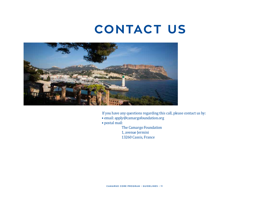### **CONTACT US**



If you have any questions regarding this call, please contact us by:

- email: apply@camargofoundation.org
- postal mail:

The Camargo Foundation 1, avenue Jermini 13260 Cassis, France